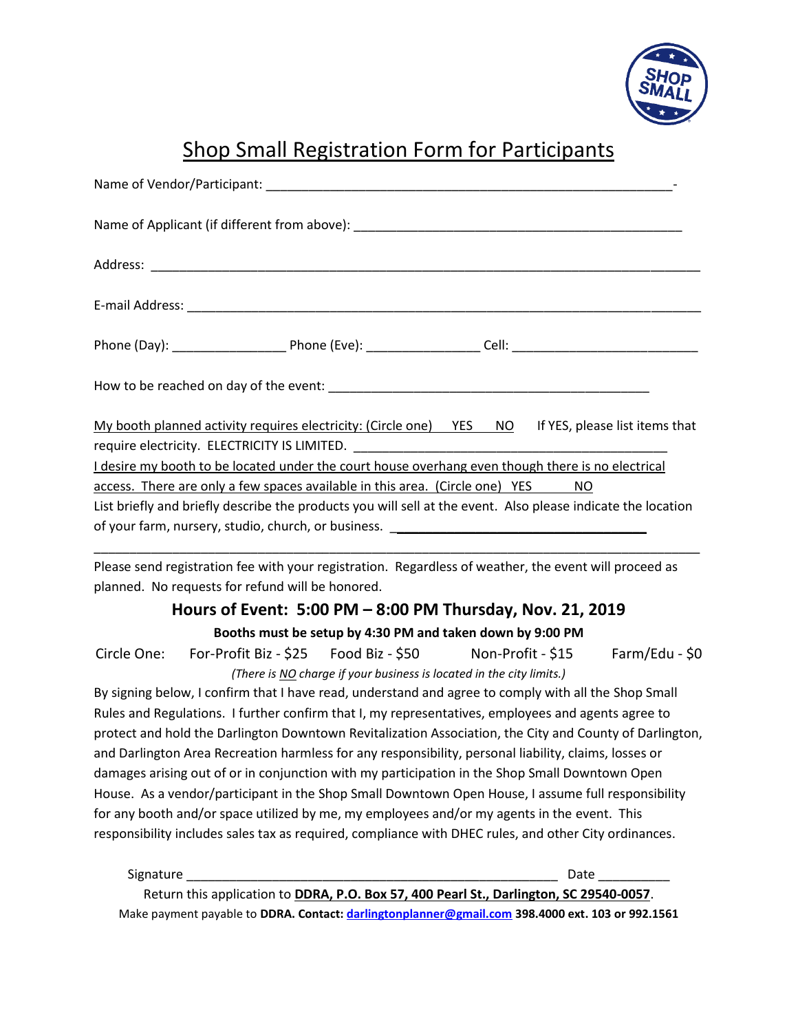

# Shop Small Registration Form for Participants

Return this application to **DDRA, P.O. Box 57, 400 Pearl St., Darlington, SC 29540-0057**. Make payment payable to **DDRA. Contact: [darlingtonplanner@gmail.com](mailto:darlingtonplanner@gmail.com) 398.4000 ext. 103 or 992.1561**

Signature \_\_\_\_\_\_\_\_\_\_\_\_\_\_\_\_\_\_\_\_\_\_\_\_\_\_\_\_\_\_\_\_\_\_\_\_\_\_\_\_\_\_\_\_\_\_\_\_\_\_\_\_ Date \_\_\_\_\_\_\_\_\_\_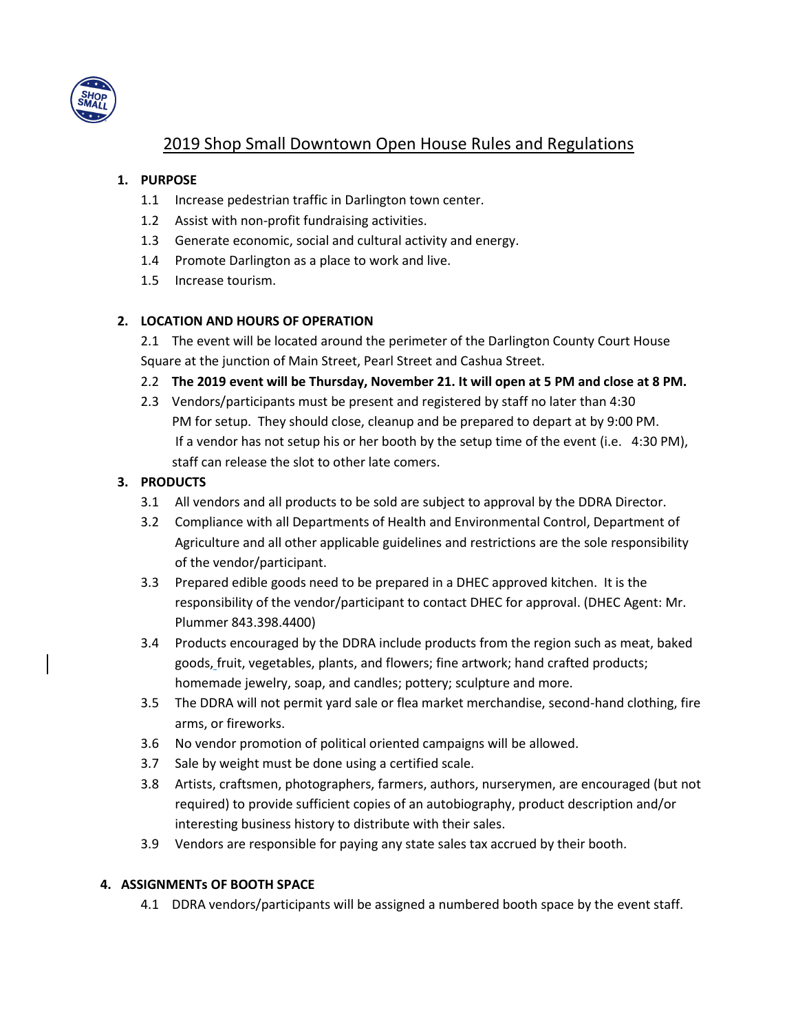

## 2019 Shop Small Downtown Open House Rules and Regulations

### **1. PURPOSE**

- 1.1 Increase pedestrian traffic in Darlington town center.
- 1.2 Assist with non-profit fundraising activities.
- 1.3 Generate economic, social and cultural activity and energy.
- 1.4 Promote Darlington as a place to work and live.
- 1.5 Increase tourism.

#### **2. LOCATION AND HOURS OF OPERATION**

2.1 The event will be located around the perimeter of the Darlington County Court House Square at the junction of Main Street, Pearl Street and Cashua Street.

- 2.2 **The 2019 event will be Thursday, November 21. It will open at 5 PM and close at 8 PM.**
- 2.3 Vendors/participants must be present and registered by staff no later than 4:30 PM for setup. They should close, cleanup and be prepared to depart at by 9:00 PM. If a vendor has not setup his or her booth by the setup time of the event (i.e. 4:30 PM), staff can release the slot to other late comers.

## **3. PRODUCTS**

- 3.1 All vendors and all products to be sold are subject to approval by the DDRA Director.
- 3.2 Compliance with all Departments of Health and Environmental Control, Department of Agriculture and all other applicable guidelines and restrictions are the sole responsibility of the vendor/participant.
- 3.3 Prepared edible goods need to be prepared in a DHEC approved kitchen. It is the responsibility of the vendor/participant to contact DHEC for approval. (DHEC Agent: Mr. Plummer 843.398.4400)
- 3.4 Products encouraged by the DDRA include products from the region such as meat, baked goods, fruit, vegetables, plants, and flowers; fine artwork; hand crafted products; homemade jewelry, soap, and candles; pottery; sculpture and more.
- 3.5 The DDRA will not permit yard sale or flea market merchandise, second-hand clothing, fire arms, or fireworks.
- 3.6 No vendor promotion of political oriented campaigns will be allowed.
- 3.7 Sale by weight must be done using a certified scale.
- 3.8 Artists, craftsmen, photographers, farmers, authors, nurserymen, are encouraged (but not required) to provide sufficient copies of an autobiography, product description and/or interesting business history to distribute with their sales.
- 3.9 Vendors are responsible for paying any state sales tax accrued by their booth.

#### **4. ASSIGNMENTs OF BOOTH SPACE**

4.1 DDRA vendors/participants will be assigned a numbered booth space by the event staff.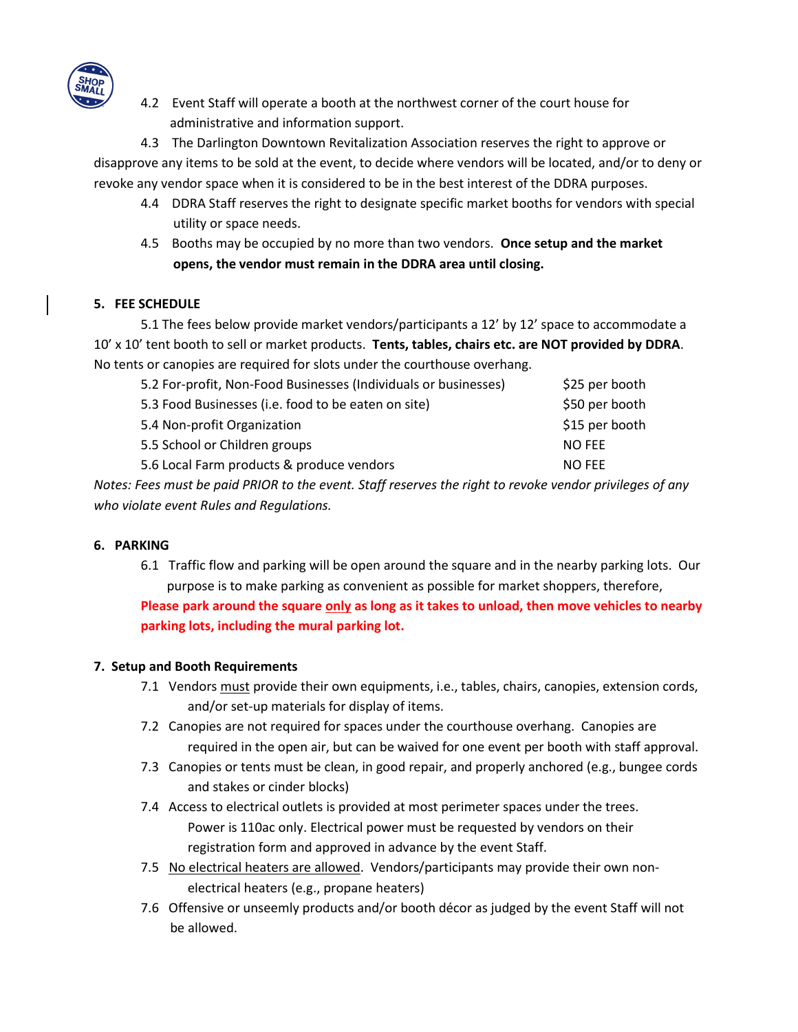

4.2 Event Staff will operate a booth at the northwest corner of the court house for administrative and information support.

4.3 The Darlington Downtown Revitalization Association reserves the right to approve or disapprove any items to be sold at the event, to decide where vendors will be located, and/or to deny or revoke any vendor space when it is considered to be in the best interest of the DDRA purposes.

- 4.4 DDRA Staff reserves the right to designate specific market booths for vendors with special utility or space needs.
- 4.5 Booths may be occupied by no more than two vendors. **Once setup and the market opens, the vendor must remain in the DDRA area until closing.**

## **5. FEE SCHEDULE**

5.1 The fees below provide market vendors/participants a 12' by 12' space to accommodate a 10' x 10' tent booth to sell or market products. **Tents, tables, chairs etc. are NOT provided by DDRA**. No tents or canopies are required for slots under the courthouse overhang.

| \$25 per booth<br>5.2 For-profit, Non-Food Businesses (Individuals or businesses) |
|-----------------------------------------------------------------------------------|
| \$50 per booth<br>5.3 Food Businesses (i.e. food to be eaten on site)             |
| \$15 per booth<br>5.4 Non-profit Organization                                     |
| 5.5 School or Children groups<br><b>NO FEE</b>                                    |
| 5.6 Local Farm products & produce vendors<br><b>NO FEE</b>                        |
|                                                                                   |

*Notes: Fees must be paid PRIOR to the event. Staff reserves the right to revoke vendor privileges of any who violate event Rules and Regulations.*

#### **6. PARKING**

6.1 Traffic flow and parking will be open around the square and in the nearby parking lots. Our purpose is to make parking as convenient as possible for market shoppers, therefore, **Please park around the square only as long as it takes to unload, then move vehicles to nearby**

**parking lots, including the mural parking lot.** 

#### **7. Setup and Booth Requirements**

- 7.1 Vendors must provide their own equipments, i.e., tables, chairs, canopies, extension cords, and/or set-up materials for display of items.
- 7.2 Canopies are not required for spaces under the courthouse overhang. Canopies are required in the open air, but can be waived for one event per booth with staff approval.
- 7.3 Canopies or tents must be clean, in good repair, and properly anchored (e.g., bungee cords and stakes or cinder blocks)
- 7.4 Access to electrical outlets is provided at most perimeter spaces under the trees. Power is 110ac only. Electrical power must be requested by vendors on their registration form and approved in advance by the event Staff.
- 7.5 No electrical heaters are allowed. Vendors/participants may provide their own nonelectrical heaters (e.g., propane heaters)
- 7.6 Offensive or unseemly products and/or booth décor as judged by the event Staff will not be allowed.